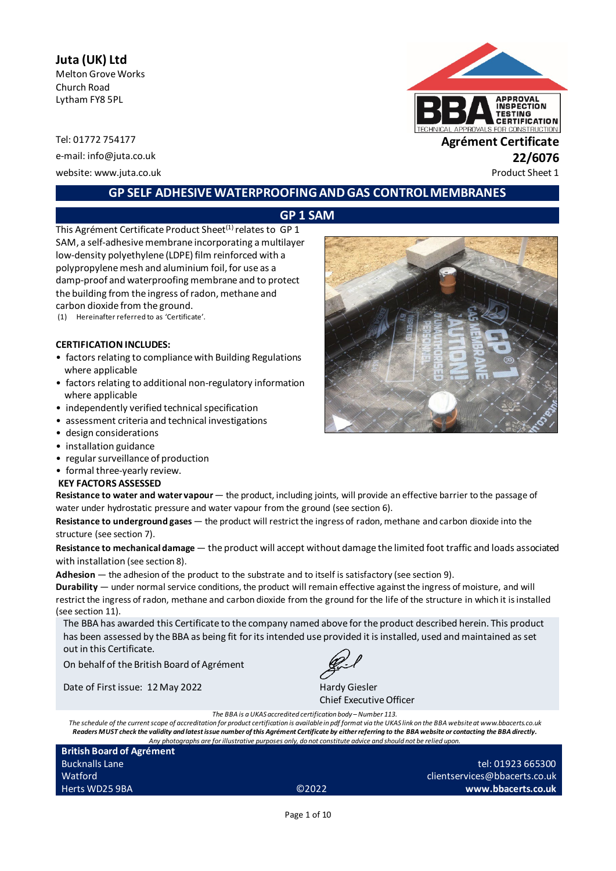# **Juta (UK) Ltd**

Melton Grove Works Church Road Lytham FY8 5PL

website: www.juta.co.uk **Product Sheet 1** 



### **GP SELF ADHESIVE WATERPROOFING AND GAS CONTROL MEMBRANES**

## **GP 1 SAM**

This Agrément Certificate Product Sheet<sup>(1)</sup> relates to GP 1 SAM, a self-adhesive membrane incorporating a multilayer low-density polyethylene (LDPE) film reinforced with a polypropylene mesh and aluminium foil, for use as a damp-proof and waterproofing membrane and to protect the building from the ingress of radon, methane and carbon dioxide from the ground.

(1) Hereinafter referred to as 'Certificate'.

#### **CERTIFICATION INCLUDES:**

- factors relating to compliance with Building Regulations where applicable
- factors relating to additional non-regulatory information where applicable
- independently verified technical specification
- assessment criteria and technical investigations
- design considerations
- installation guidance
- regular surveillance of production
- formal three-yearly review.

#### **KEY FACTORS ASSESSED**

Resistance to water and water vapour — the product, including joints, will provide an effective barrier to the passage of water under hydrostatic pressure and water vapour from the ground (see section 6).

**Resistance to underground gases** — the product will restrict the ingress of radon, methane and carbon dioxide into the structure (see section 7).

**Resistance to mechanical damage** — the product will accept without damage the limited foot traffic and loads associated with installation (see section 8).

**Adhesion** — the adhesion of the product to the substrate and to itself is satisfactory (see section 9).

**Durability** — under normal service conditions, the product will remain effective against the ingress of moisture, and will restrict the ingress of radon, methane and carbon dioxide from the ground for the life of the structure in which it is installed (see section 11).

The BBA has awarded this Certificate to the company named above for the product described herein. This product has been assessed by the BBA as being fit for its intended use provided it is installed, used and maintained as set out in this Certificate.

On behalf of the British Board of Agrément

Date of First issue: 12 May 2022 Hardy Giesler

Chief Executive Officer

*The BBA is a UKAS accredited certification body – Number 113.*

*The schedule of the current scope of accreditation for product certification is available in pdf format via the UKAS link on the BBA website at www.bbacerts.co.uk Readers MUST check the validity and latest issue number of this Agrément Certificate by either referring to the BBA website or contacting the BBA directly. Any photographs are for illustrative purposes only, do not constitute advice and should not be relied upon.*

| <b>British Board of Agrément</b> |                   |                               |
|----------------------------------|-------------------|-------------------------------|
| <b>Bucknalls Lane</b>            |                   | tel: 01923 665300             |
| Watford                          |                   | clientservices@bbacerts.co.uk |
| Herts WD25 9BA                   | C <sub>2022</sub> | www.bbacerts.co.uk            |

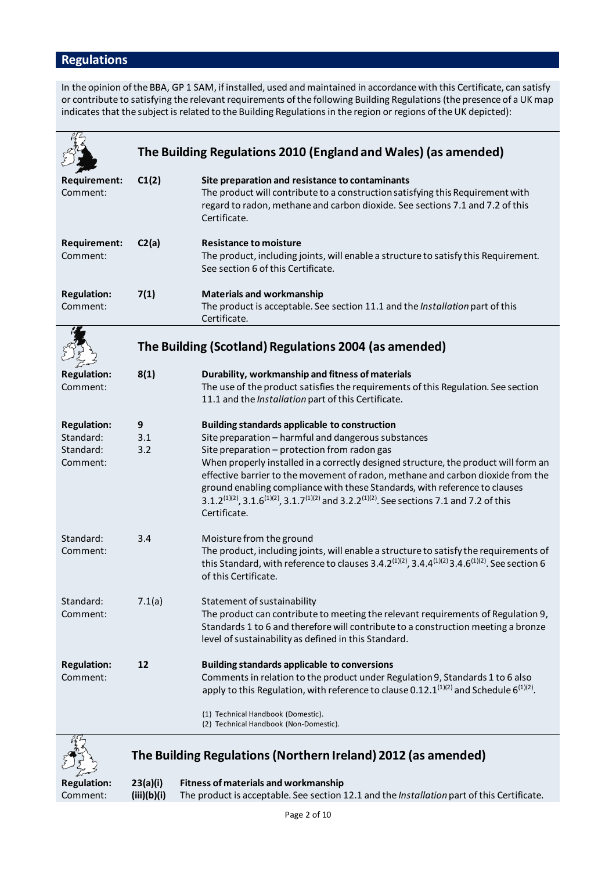# **Regulations**

In the opinion of the BBA, GP 1 SAM, if installed, used and maintained in accordance with this Certificate, can satisfy or contribute to satisfying the relevant requirements of the following Building Regulations (the presence of a UK map indicates that the subject is related to the Building Regulations in the region or regions of the UK depicted):

|                                                          |                 | The Building Regulations 2010 (England and Wales) (as amended)                                                                                                                                                                                                                                                                                                                                                                                                                                                                                                                    |
|----------------------------------------------------------|-----------------|-----------------------------------------------------------------------------------------------------------------------------------------------------------------------------------------------------------------------------------------------------------------------------------------------------------------------------------------------------------------------------------------------------------------------------------------------------------------------------------------------------------------------------------------------------------------------------------|
| <b>Requirement:</b><br>Comment:                          | C1(2)           | Site preparation and resistance to contaminants<br>The product will contribute to a construction satisfying this Requirement with<br>regard to radon, methane and carbon dioxide. See sections 7.1 and 7.2 of this<br>Certificate.                                                                                                                                                                                                                                                                                                                                                |
| <b>Requirement:</b><br>Comment:                          | C2(a)           | <b>Resistance to moisture</b><br>The product, including joints, will enable a structure to satisfy this Requirement.<br>See section 6 of this Certificate.                                                                                                                                                                                                                                                                                                                                                                                                                        |
| <b>Regulation:</b><br>Comment:                           | 7(1)            | <b>Materials and workmanship</b><br>The product is acceptable. See section 11.1 and the Installation part of this<br>Certificate.                                                                                                                                                                                                                                                                                                                                                                                                                                                 |
|                                                          |                 | The Building (Scotland) Regulations 2004 (as amended)                                                                                                                                                                                                                                                                                                                                                                                                                                                                                                                             |
| <b>Regulation:</b><br>Comment:                           | 8(1)            | Durability, workmanship and fitness of materials<br>The use of the product satisfies the requirements of this Regulation. See section<br>11.1 and the Installation part of this Certificate.                                                                                                                                                                                                                                                                                                                                                                                      |
| <b>Regulation:</b><br>Standard:<br>Standard:<br>Comment: | 9<br>3.1<br>3.2 | <b>Building standards applicable to construction</b><br>Site preparation - harmful and dangerous substances<br>Site preparation - protection from radon gas<br>When properly installed in a correctly designed structure, the product will form an<br>effective barrier to the movement of radon, methane and carbon dioxide from the<br>ground enabling compliance with these Standards, with reference to clauses<br>3.1.2 <sup>(1)(2)</sup> , 3.1.6 <sup>(1)(2)</sup> , 3.1.7 <sup>(1)(2)</sup> and 3.2.2 <sup>(1)(2)</sup> . See sections 7.1 and 7.2 of this<br>Certificate. |
| Standard:<br>Comment:                                    | 3.4             | Moisture from the ground<br>The product, including joints, will enable a structure to satisfy the requirements of<br>this Standard, with reference to clauses 3.4.2 <sup>(1)(2)</sup> , 3.4.4 <sup>(1)(2)</sup> 3.4.6 <sup>(1)(2)</sup> . See section 6<br>of this Certificate.                                                                                                                                                                                                                                                                                                   |
| Standard:<br>Comment:                                    | 7.1(a)          | Statement of sustainability<br>The product can contribute to meeting the relevant requirements of Regulation 9,<br>Standards 1 to 6 and therefore will contribute to a construction meeting a bronze<br>level of sustainability as defined in this Standard.                                                                                                                                                                                                                                                                                                                      |
| <b>Regulation:</b><br>Comment:                           | 12              | <b>Building standards applicable to conversions</b><br>Comments in relation to the product under Regulation 9, Standards 1 to 6 also<br>apply to this Regulation, with reference to clause 0.12.1 <sup>(1)(2)</sup> and Schedule 6 <sup>(1)(2)</sup> .<br>(1) Technical Handbook (Domestic).<br>(2) Technical Handbook (Non-Domestic).                                                                                                                                                                                                                                            |
| 27                                                       |                 |                                                                                                                                                                                                                                                                                                                                                                                                                                                                                                                                                                                   |



**The Building Regulations (Northern Ireland) 2012 (as amended)**

**Regulation: 23(a)(i) Fitness of materials and workmanship** Comment: **(iii)(b)(i)** The product is acceptable. See section 12.1 and the *Installation* part of this Certificate.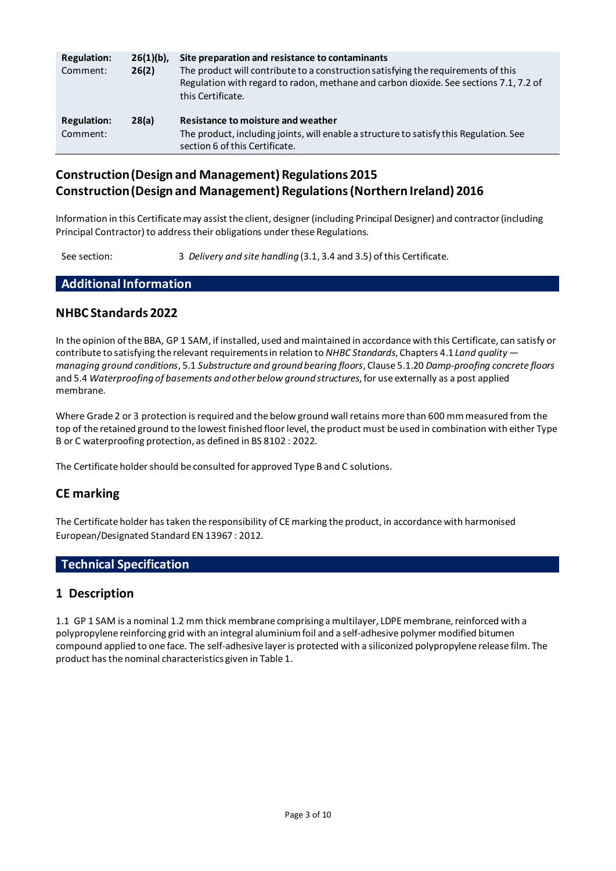| <b>Regulation:</b><br>Comment: | $26(1)(b)$ ,<br>26(2) | Site preparation and resistance to contaminants<br>The product will contribute to a construction satisfying the requirements of this<br>Regulation with regard to radon, methane and carbon dioxide. See sections 7.1, 7.2 of<br>this Certificate. |
|--------------------------------|-----------------------|----------------------------------------------------------------------------------------------------------------------------------------------------------------------------------------------------------------------------------------------------|
| <b>Regulation:</b><br>Comment: | 28(a)                 | Resistance to moisture and weather<br>The product, including joints, will enable a structure to satisfy this Regulation. See<br>section 6 of this Certificate.                                                                                     |

# **Construction (Design and Management) Regulations 2015 Construction (Design and Management) Regulations (Northern Ireland) 2016**

Information in this Certificate may assist the client, designer (including Principal Designer) and contractor(including Principal Contractor) to address their obligations under these Regulations.

See section: 3 *Delivery and site handling* (3.1, 3.4 and 3.5) of this Certificate.

# **Additional Information**

### **NHBC Standards 2022**

In the opinion of the BBA, GP 1 SAM, if installed, used and maintained in accordance with this Certificate, can satisfy or contribute to satisfying the relevant requirements in relation to *NHBC Standards*, Chapters 4.1 *Land quality managing ground conditions*, 5.1 *Substructure and ground bearing floors*, Clause 5.1.20 *Damp-proofing concrete floors* and 5.4 *Waterproofing of basements and other below ground structures*, for use externally as a post applied membrane.

Where Grade 2 or 3 protection is required and the below ground wall retains more than 600 mm measured from the top of the retained ground to the lowest finished floor level, the product must be used in combination with either Type B or C waterproofing protection, as defined in BS 8102 : 2022.

The Certificate holder should be consulted for approved Type B and C solutions.

## **CE marking**

The Certificate holder has taken the responsibility of CE marking the product, in accordance with harmonised European/Designated Standard EN 13967 : 2012.

### **Technical Specification**

### **1 Description**

1.1 GP 1 SAM is a nominal 1.2 mm thick membrane comprising a multilayer, LDPE membrane, reinforced with a polypropylene reinforcing grid with an integral aluminium foil and a self-adhesive polymer modified bitumen compound applied to one face. The self-adhesive layer is protected with a siliconized polypropylene release film. The product has the nominal characteristics given in Table 1.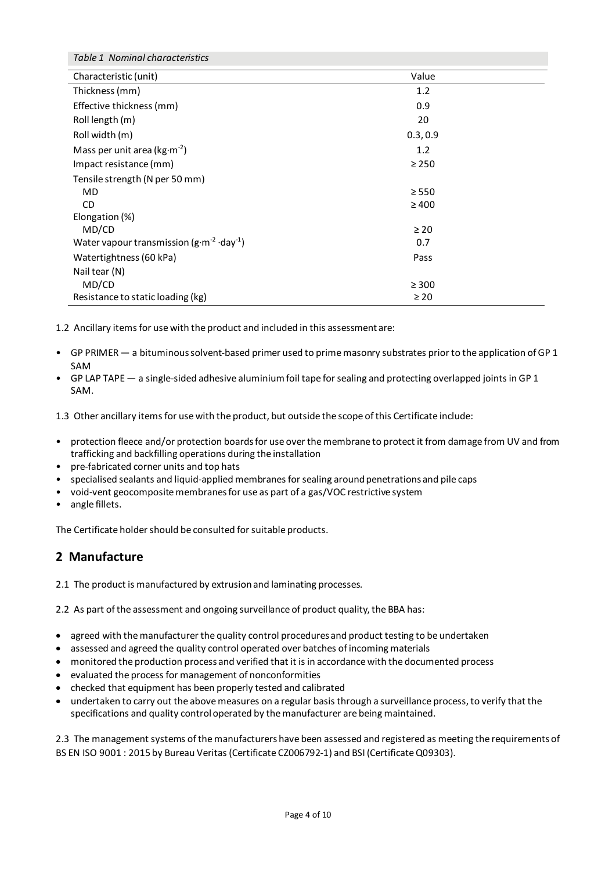| Table 1 Nominal characteristics                               |            |
|---------------------------------------------------------------|------------|
| Characteristic (unit)                                         | Value      |
| Thickness (mm)                                                | 1.2        |
| Effective thickness (mm)                                      | 0.9        |
| Roll length (m)                                               | 20         |
| Roll width (m)                                                | 0.3, 0.9   |
| Mass per unit area ( $kg·m-2$ )                               | 1.2        |
| Impact resistance (mm)                                        | $\geq$ 250 |
| Tensile strength (N per 50 mm)                                |            |
| MD.                                                           | $\geq$ 550 |
| CD.                                                           | $\geq 400$ |
| Elongation (%)                                                |            |
| MD/CD                                                         | $\geq 20$  |
| Water vapour transmission ( $g \cdot m^{-2} \cdot day^{-1}$ ) | 0.7        |
| Watertightness (60 kPa)                                       | Pass       |
| Nail tear (N)                                                 |            |
| MD/CD                                                         | $\geq 300$ |
| Resistance to static loading (kg)                             | $\geq 20$  |

1.2 Ancillary items for use with the product and included in this assessment are:

- GP PRIMER a bituminous solvent-based primer used to prime masonry substrates prior to the application of GP 1 SAM
- GP LAP TAPE a single-sided adhesive aluminiumfoil tape for sealing and protecting overlapped joints in GP 1 SAM.

1.3 Other ancillary items for use with the product, but outside the scope of this Certificate include:

- protection fleece and/or protection boards for use over the membrane to protect it from damage from UV and from trafficking and backfilling operations during the installation
- pre-fabricated corner units and top hats
- specialised sealants and liquid-applied membranes for sealing around penetrations and pile caps
- void-vent geocomposite membranes for use as part of a gas/VOC restrictive system
- angle fillets.

The Certificate holder should be consulted for suitable products.

## **2 Manufacture**

2.1 The product is manufactured by extrusion and laminating processes.

2.2 As part of the assessment and ongoing surveillance of product quality, the BBA has:

- agreed with the manufacturer the quality control procedures and product testing to be undertaken
- assessed and agreed the quality control operated over batches of incoming materials
- monitored the production process and verified that it is in accordance with the documented process
- evaluated the process for management of nonconformities
- checked that equipment has been properly tested and calibrated
- undertaken to carry out the above measures on a regular basis through a surveillance process, to verify that the specifications and quality control operated by the manufacturer are being maintained.

2.3 The management systems of the manufacturers have been assessed and registered as meeting the requirements of BS EN ISO 9001 : 2015 by Bureau Veritas (Certificate CZ006792-1) and BSI (Certificate Q09303).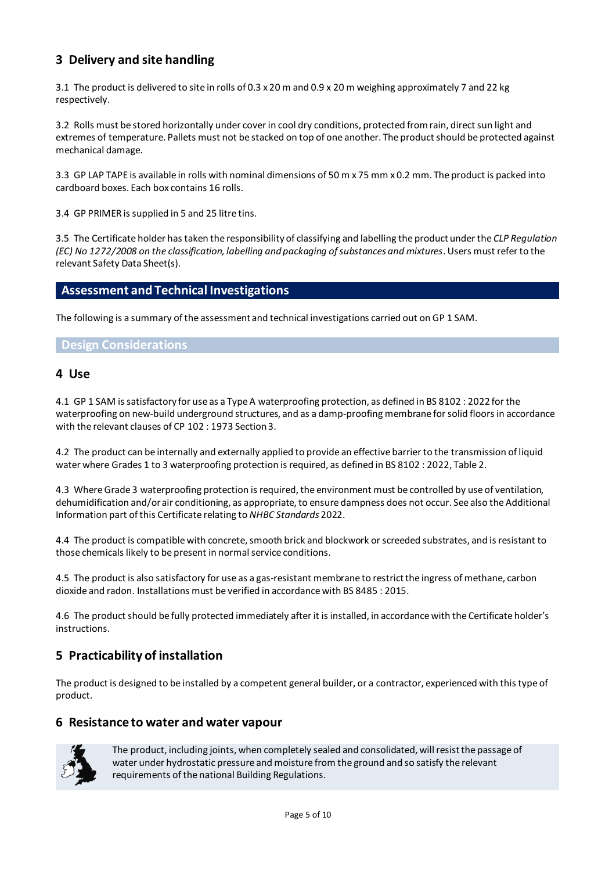## **3 Delivery and site handling**

3.1 The product is delivered to site in rolls of 0.3 x 20 m and 0.9 x 20 m weighing approximately 7 and 22 kg respectively.

3.2 Rolls must be stored horizontally under cover in cool dry conditions, protected from rain, direct sun light and extremes of temperature. Pallets must not be stacked on top of one another. The product should be protected against mechanical damage.

3.3 GP LAP TAPE is available in rolls with nominal dimensions of 50 m x 75 mm x 0.2 mm. The product is packed into cardboard boxes. Each box contains 16 rolls.

3.4 GP PRIMER is supplied in 5 and 25 litre tins.

3.5 The Certificate holder has taken the responsibility of classifying and labelling the product under the *CLP Regulation (EC) No 1272/2008 on the classification, labelling and packaging of substances and mixtures*. Users must refer to the relevant Safety Data Sheet(s).

### **Assessment and Technical Investigations**

The following is a summary of the assessment and technical investigations carried out on GP 1 SAM.

#### **Design Considerations**

#### **4 Use**

4.1 GP 1 SAM is satisfactory for use as a Type A waterproofing protection, as defined in BS 8102 : 2022 for the waterproofing on new-build underground structures, and as a damp-proofing membrane for solid floors in accordance with the relevant clauses of CP 102 : 1973 Section 3.

4.2 The product can be internally and externally applied to provide an effective barrier to the transmission of liquid water where Grades 1 to 3 waterproofing protection is required, as defined in BS 8102 : 2022, Table 2.

4.3 Where Grade 3 waterproofing protection is required, the environment must be controlled by use of ventilation, dehumidification and/or air conditioning, as appropriate, to ensure dampness does not occur. See also the Additional Information part of this Certificate relating to *NHBC Standards* 2022.

4.4 The product is compatible with concrete, smooth brick and blockwork or screeded substrates, and is resistant to those chemicals likely to be present in normal service conditions.

4.5 The product is also satisfactory for use as a gas-resistant membrane to restrict the ingress of methane, carbon dioxide and radon. Installations must be verified in accordance with BS 8485 : 2015.

4.6 The product should be fully protected immediately after it is installed, in accordance with the Certificate holder's instructions.

## **5 Practicability of installation**

The product is designed to be installed by a competent general builder, or a contractor, experienced with this type of product.

### **6 Resistance to water and water vapour**



The product, including joints, when completely sealed and consolidated, will resist the passage of water under hydrostatic pressure and moisture from the ground and so satisfy the relevant requirements of the national Building Regulations.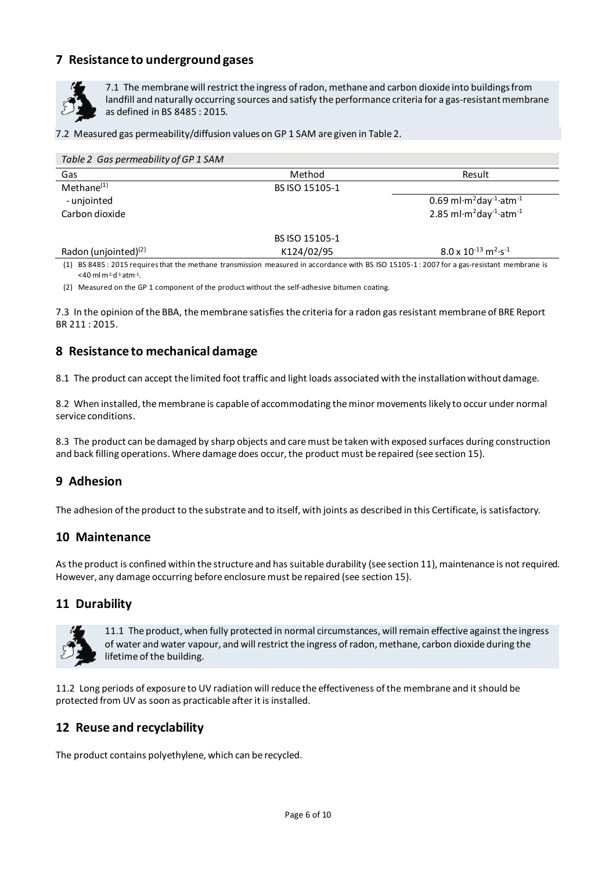## **7 Resistance to underground gases**



7.1 The membrane will restrict the ingress of radon, methane and carbon dioxide into buildings from landfill and naturally occurring sources and satisfy the performance criteria for a gas-resistant membrane as defined in BS 8485 : 2015.

7.2 Measured gas permeability/diffusion values on GP 1 SAM are given in Table 2.

| Table 2 Gas permeability of GP 1 SAM |                |                                                                            |
|--------------------------------------|----------------|----------------------------------------------------------------------------|
| Gas                                  | Method         | Result                                                                     |
| $Method(1)}$                         | BS ISO 15105-1 |                                                                            |
| - unjointed                          |                | 0.69 ml $\cdot$ m <sup>2</sup> day <sup>-1</sup> $\cdot$ atm <sup>-1</sup> |
| Carbon dioxide                       |                | 2.85 ml $\cdot$ m <sup>2</sup> day <sup>-1</sup> $\cdot$ atm <sup>-1</sup> |
|                                      | BS ISO 15105-1 |                                                                            |
| Radon (unjointed) $(2)$              | K124/02/95     | $8.0 \times 10^{-13}$ m <sup>2</sup> ·s <sup>-1</sup>                      |

(1) BS 8485 : 2015 requires that the methane transmission measured in accordance with BS ISO 15105-1 : 2007 for a gas-resistant membrane is  $<$ 40 ml·m<sup>-2</sup>·d<sup>-1</sup>·atm<sup>-1</sup>.

(2) Measured on the GP 1 component of the product without the self-adhesive bitumen coating.

7.3 In the opinion of the BBA, the membrane satisfies the criteria for a radon gas resistant membrane of BRE Report BR 211 : 2015.

### **8 Resistance to mechanical damage**

8.1 The product can accept the limited foot traffic and light loads associated with the installation without damage.

8.2 When installed, the membrane is capable of accommodating the minor movements likely to occur under normal service conditions.

8.3 The product can be damaged by sharp objects and care must be taken with exposed surfaces during construction and back filling operations. Where damage does occur, the product must be repaired (see section 15).

## **9 Adhesion**

The adhesion of the product to the substrate and to itself, with joints as described in this Certificate, is satisfactory.

### **10 Maintenance**

As the product is confined within the structure and has suitable durability (see section 11), maintenance is not required. However, any damage occurring before enclosure must be repaired (see section 15).

### **11 Durability**



11.1 The product, when fully protected in normal circumstances, will remain effective against the ingress of water and water vapour, and will restrict the ingress of radon, methane, carbon dioxide during the lifetime of the building.

11.2 Long periods of exposure to UV radiation will reduce the effectiveness of the membrane and it should be protected from UV as soon as practicable after it is installed.

### **12 Reuse and recyclability**

The product contains polyethylene, which can be recycled.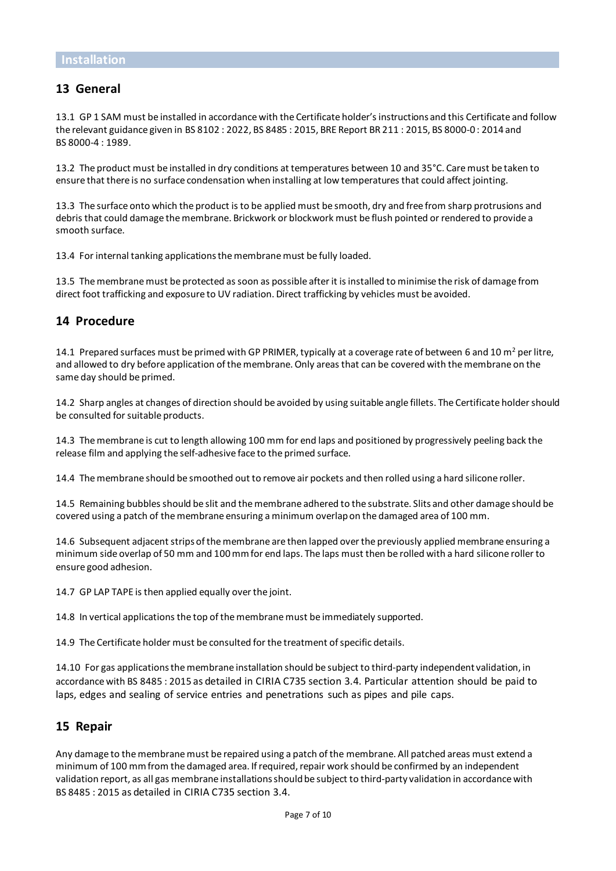### **13 General**

13.1 GP 1 SAM must be installed in accordance with the Certificate holder's instructions and this Certificate and follow the relevant guidance given in BS 8102 : 2022, BS 8485 : 2015, BRE Report BR 211 : 2015, BS 8000-0 : 2014 and BS 8000-4 : 1989.

13.2 The product must be installed in dry conditions at temperatures between 10 and 35°C. Care must be taken to ensure that there is no surface condensation when installing at low temperatures that could affect jointing.

13.3 The surface onto which the product is to be applied must be smooth, dry and free from sharp protrusions and debris that could damage the membrane. Brickwork or blockwork must be flush pointed or rendered to provide a smooth surface.

13.4 For internal tanking applications the membrane must be fully loaded.

13.5 The membrane must be protected as soon as possible after it is installed to minimise the risk of damage from direct foot trafficking and exposure to UV radiation. Direct trafficking by vehicles must be avoided.

#### **14 Procedure**

14.1 Prepared surfaces must be primed with GP PRIMER, typically at a coverage rate of between 6 and 10  $m^2$  per litre, and allowed to dry before application of the membrane. Only areas that can be covered with the membrane on the same day should be primed.

14.2 Sharp angles at changes of direction should be avoided by using suitable angle fillets. The Certificate holder should be consulted for suitable products.

14.3 The membrane is cut to length allowing 100 mm for end laps and positioned by progressively peeling back the release film and applying the self-adhesive face to the primed surface.

14.4 The membrane should be smoothed out to remove air pockets and then rolled using a hard silicone roller.

14.5 Remaining bubbles should be slit and the membrane adhered to the substrate. Slits and other damage should be covered using a patch of the membrane ensuring a minimum overlap on the damaged area of 100 mm.

14.6 Subsequent adjacent strips of the membrane are then lapped over the previously applied membrane ensuring a minimum side overlap of 50 mm and 100 mm for end laps. The laps must then be rolled with a hard silicone roller to ensure good adhesion.

14.7 GP LAP TAPE is then applied equally over the joint.

14.8 In vertical applications the top of the membrane must be immediately supported.

14.9 The Certificate holder must be consulted for the treatment of specific details.

14.10 For gas applications the membrane installation should be subject to third-party independent validation, in accordance with BS 8485 : 2015 as detailed in CIRIA C735 section 3.4. Particular attention should be paid to laps, edges and sealing of service entries and penetrations such as pipes and pile caps.

#### **15 Repair**

Any damage to the membrane must be repaired using a patch of the membrane. All patched areas must extend a minimum of 100 mm from the damaged area. If required, repair work should be confirmed by an independent validation report, as all gas membrane installations should be subject to third-party validation in accordance with BS 8485 : 2015 as detailed in CIRIA C735 section 3.4.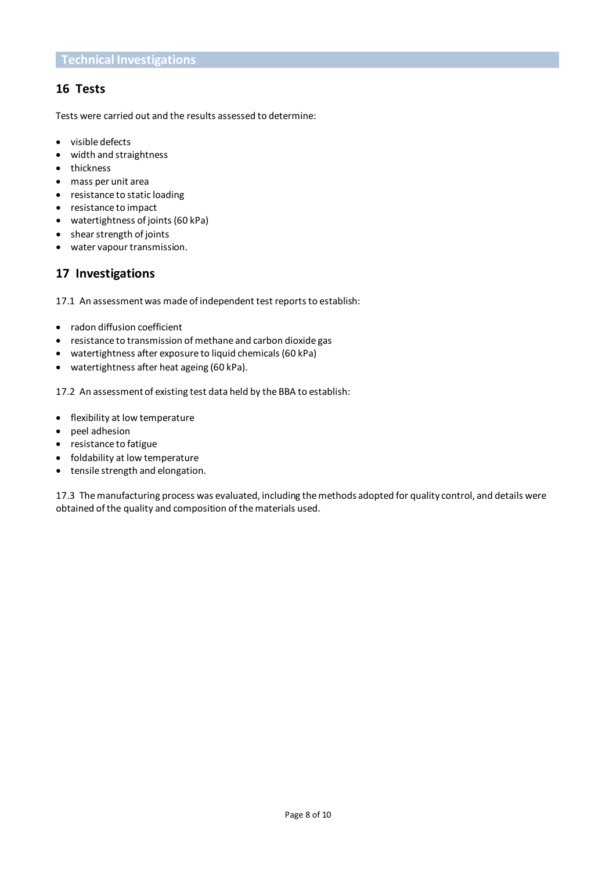### **16 Tests**

Tests were carried out and the results assessed to determine:

- visible defects
- width and straightness
- thickness
- mass per unit area
- resistance to static loading
- resistance to impact
- watertightness of joints (60 kPa)
- shear strength of joints
- water vapour transmission.

## **17 Investigations**

17.1 An assessment was made of independent test reports to establish:

- radon diffusion coefficient
- resistance to transmission of methane and carbon dioxide gas
- watertightness after exposure to liquid chemicals (60 kPa)
- watertightness after heat ageing (60 kPa).

17.2 An assessment of existing test data held by the BBA to establish:

- flexibility at low temperature
- peel adhesion
- resistance to fatigue
- foldability at low temperature
- tensile strength and elongation.

17.3 The manufacturing process was evaluated, including the methods adopted for quality control, and details were obtained of the quality and composition of the materials used.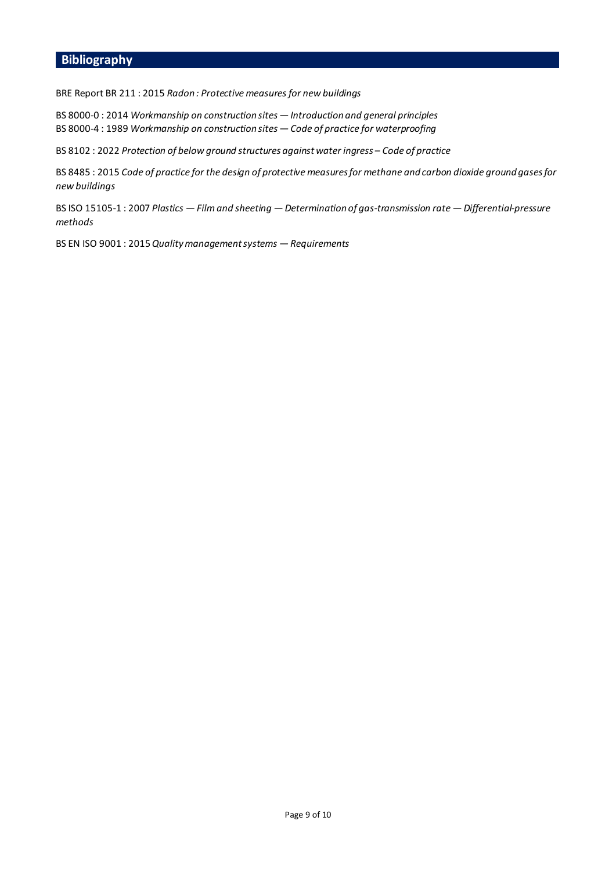## **Bibliography**

BRE Report BR 211 : 2015 *Radon : Protective measures for new buildings*

BS 8000-0 : 2014 *Workmanship on construction sites — Introduction and general principles* BS 8000-4 : 1989 *Workmanship on construction sites — Code of practice for waterproofing*

BS 8102 : 2022 *Protection of below ground structures against water ingress – Code of practice*

BS 8485 : 2015 *Code of practice for the design of protective measures for methane and carbon dioxide ground gases for new buildings*

BS ISO 15105-1 : 2007 *Plastics — Film and sheeting — Determination of gas-transmission rate — Differential-pressure methods*

BS EN ISO 9001 : 2015*Quality management systems — Requirements*